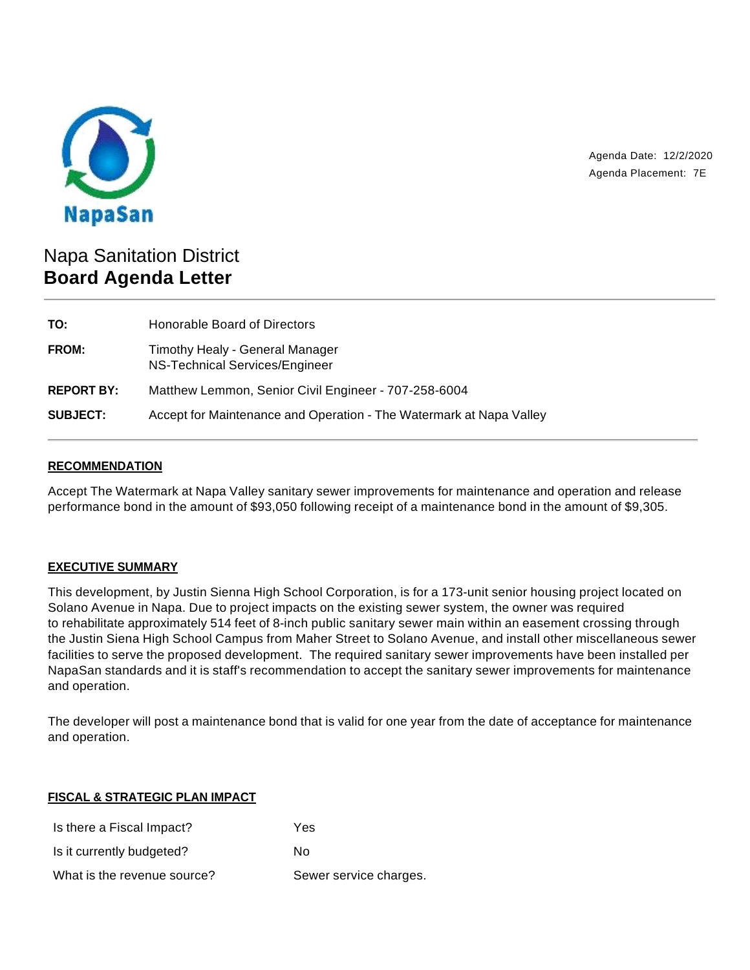

Agenda Date: 12/2/2020 Agenda Placement: 7E

# Napa Sanitation District **Board Agenda Letter**

| TO:               | Honorable Board of Directors                                        |
|-------------------|---------------------------------------------------------------------|
| <b>FROM:</b>      | Timothy Healy - General Manager<br>NS-Technical Services/Engineer   |
| <b>REPORT BY:</b> | Matthew Lemmon, Senior Civil Engineer - 707-258-6004                |
| <b>SUBJECT:</b>   | Accept for Maintenance and Operation - The Watermark at Napa Valley |

## **RECOMMENDATION**

Accept The Watermark at Napa Valley sanitary sewer improvements for maintenance and operation and release performance bond in the amount of \$93,050 following receipt of a maintenance bond in the amount of \$9,305.

# **EXECUTIVE SUMMARY**

This development, by Justin Sienna High School Corporation, is for a 173-unit senior housing project located on Solano Avenue in Napa. Due to project impacts on the existing sewer system, the owner was required to rehabilitate approximately 514 feet of 8-inch public sanitary sewer main within an easement crossing through the Justin Siena High School Campus from Maher Street to Solano Avenue, and install other miscellaneous sewer facilities to serve the proposed development. The required sanitary sewer improvements have been installed per NapaSan standards and it is staff's recommendation to accept the sanitary sewer improvements for maintenance and operation.

The developer will post a maintenance bond that is valid for one year from the date of acceptance for maintenance and operation.

#### **FISCAL & STRATEGIC PLAN IMPACT**

| Is there a Fiscal Impact?   | Yes                    |
|-----------------------------|------------------------|
| Is it currently budgeted?   | N٥                     |
| What is the revenue source? | Sewer service charges. |